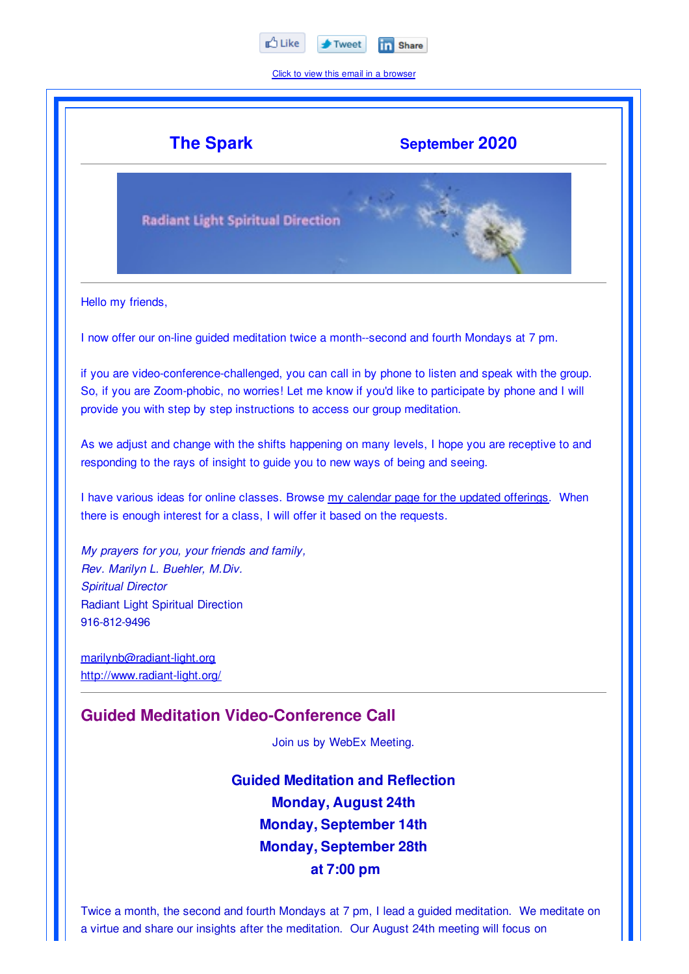

Click to view this email in a browser



Twice a month, the second and fourth Mondays at 7 pm, I lead a guided meditation. We meditate on a virtue and share our insights after the meditation. Our August 24th meeting will focus on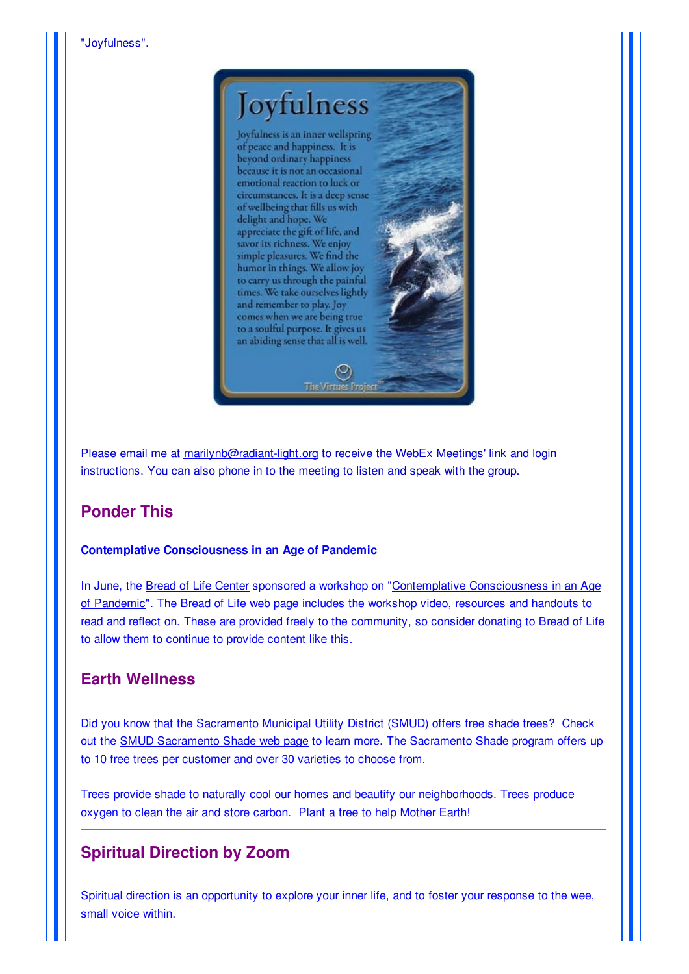

Please email me at marilynb@radiant-light.org to receive the WebEx Meetings' link and login instructions. You can also phone in to the meeting to listen and speak with the group.

## **Ponder This**

## **Contemplative Consciousness in an Age of Pandemic**

In June, the Bread of Life Center sponsored a workshop on "Contemplative Consciousness in an Age of Pandemic". The Bread of Life web page includes the workshop video, resources and handouts to read and reflect on. These are provided freely to the community, so consider donating to Bread of Life to allow them to continue to provide content like this.

## **Earth Wellness**

Did you know that the Sacramento Municipal Utility District (SMUD) offers free shade trees? Check out the SMUD Sacramento Shade web page to learn more. The Sacramento Shade program offers up to 10 free trees per customer and over 30 varieties to choose from.

Trees provide shade to naturally cool our homes and beautify our neighborhoods. Trees produce oxygen to clean the air and store carbon. Plant a tree to help Mother Earth!

## **Spiritual Direction by Zoom**

Spiritual direction is an opportunity to explore your inner life, and to foster your response to the wee, small voice within.